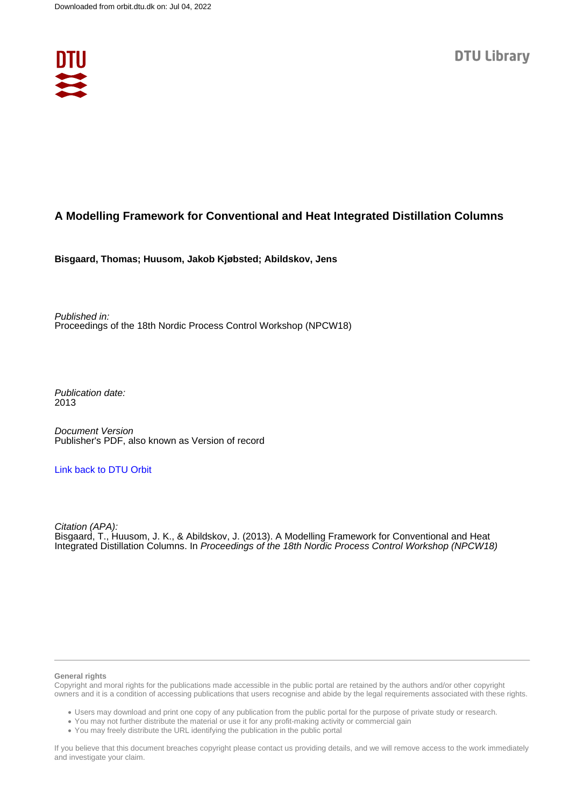

## **A Modelling Framework for Conventional and Heat Integrated Distillation Columns**

**Bisgaard, Thomas; Huusom, Jakob Kjøbsted; Abildskov, Jens**

Published in: Proceedings of the 18th Nordic Process Control Workshop (NPCW18)

Publication date: 2013

Document Version Publisher's PDF, also known as Version of record

## [Link back to DTU Orbit](https://orbit.dtu.dk/en/publications/20d590c3-dbf9-4434-bf5b-6bf2978d2039)

Citation (APA): Bisgaard, T., Huusom, J. K., & Abildskov, J. (2013). A Modelling Framework for Conventional and Heat Integrated Distillation Columns. In Proceedings of the 18th Nordic Process Control Workshop (NPCW18)

#### **General rights**

Copyright and moral rights for the publications made accessible in the public portal are retained by the authors and/or other copyright owners and it is a condition of accessing publications that users recognise and abide by the legal requirements associated with these rights.

Users may download and print one copy of any publication from the public portal for the purpose of private study or research.

- You may not further distribute the material or use it for any profit-making activity or commercial gain
- You may freely distribute the URL identifying the publication in the public portal

If you believe that this document breaches copyright please contact us providing details, and we will remove access to the work immediately and investigate your claim.